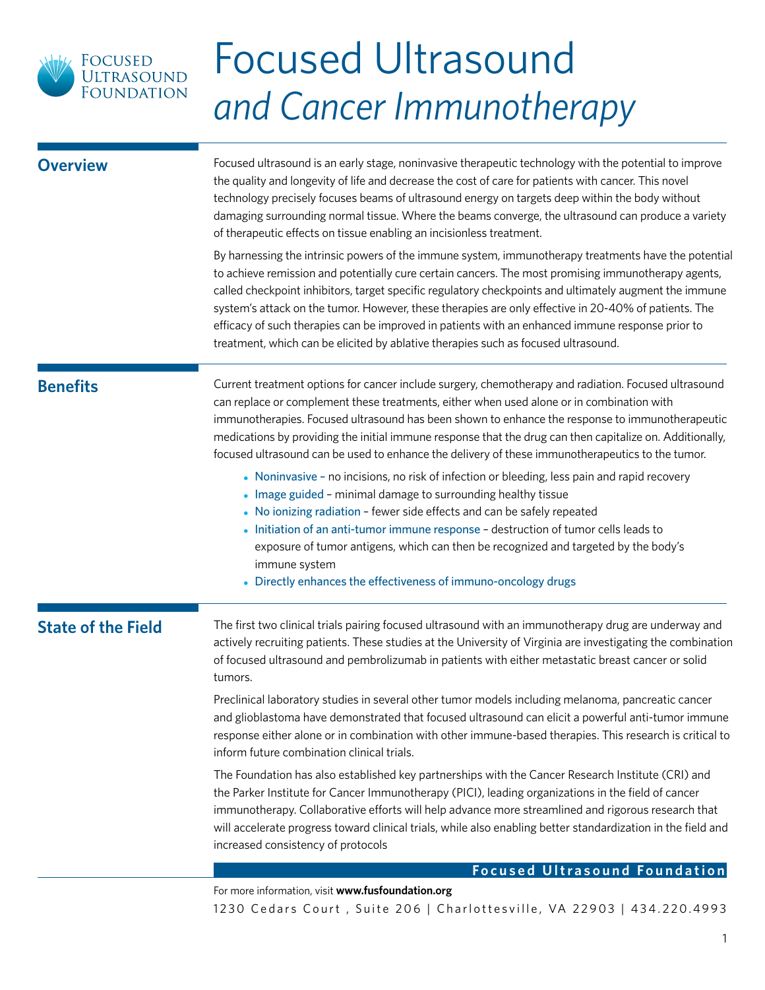

| <b>Overview</b>           | Focused ultrasound is an early stage, noninvasive therapeutic technology with the potential to improve<br>the quality and longevity of life and decrease the cost of care for patients with cancer. This novel<br>technology precisely focuses beams of ultrasound energy on targets deep within the body without<br>damaging surrounding normal tissue. Where the beams converge, the ultrasound can produce a variety<br>of therapeutic effects on tissue enabling an incisionless treatment.                                                                                                                         |  |  |
|---------------------------|-------------------------------------------------------------------------------------------------------------------------------------------------------------------------------------------------------------------------------------------------------------------------------------------------------------------------------------------------------------------------------------------------------------------------------------------------------------------------------------------------------------------------------------------------------------------------------------------------------------------------|--|--|
|                           | By harnessing the intrinsic powers of the immune system, immunotherapy treatments have the potential<br>to achieve remission and potentially cure certain cancers. The most promising immunotherapy agents,<br>called checkpoint inhibitors, target specific regulatory checkpoints and ultimately augment the immune<br>system's attack on the tumor. However, these therapies are only effective in 20-40% of patients. The<br>efficacy of such therapies can be improved in patients with an enhanced immune response prior to<br>treatment, which can be elicited by ablative therapies such as focused ultrasound. |  |  |
| <b>Benefits</b>           | Current treatment options for cancer include surgery, chemotherapy and radiation. Focused ultrasound<br>can replace or complement these treatments, either when used alone or in combination with<br>immunotherapies. Focused ultrasound has been shown to enhance the response to immunotherapeutic<br>medications by providing the initial immune response that the drug can then capitalize on. Additionally,<br>focused ultrasound can be used to enhance the delivery of these immunotherapeutics to the tumor.                                                                                                    |  |  |
|                           | • Noninvasive - no incisions, no risk of infection or bleeding, less pain and rapid recovery<br>• Image guided - minimal damage to surrounding healthy tissue<br>• No ionizing radiation - fewer side effects and can be safely repeated<br>• Initiation of an anti-tumor immune response - destruction of tumor cells leads to<br>exposure of tumor antigens, which can then be recognized and targeted by the body's<br>immune system<br>• Directly enhances the effectiveness of immuno-oncology drugs                                                                                                               |  |  |
| <b>State of the Field</b> | The first two clinical trials pairing focused ultrasound with an immunotherapy drug are underway and<br>actively recruiting patients. These studies at the University of Virginia are investigating the combination<br>of focused ultrasound and pembrolizumab in patients with either metastatic breast cancer or solid<br>tumors.                                                                                                                                                                                                                                                                                     |  |  |
|                           | Preclinical laboratory studies in several other tumor models including melanoma, pancreatic cancer<br>and glioblastoma have demonstrated that focused ultrasound can elicit a powerful anti-tumor immune<br>response either alone or in combination with other immune-based therapies. This research is critical to<br>inform future combination clinical trials.                                                                                                                                                                                                                                                       |  |  |
|                           | The Foundation has also established key partnerships with the Cancer Research Institute (CRI) and<br>the Parker Institute for Cancer Immunotherapy (PICI), leading organizations in the field of cancer<br>immunotherapy. Collaborative efforts will help advance more streamlined and rigorous research that<br>will accelerate progress toward clinical trials, while also enabling better standardization in the field and<br>increased consistency of protocols                                                                                                                                                     |  |  |
|                           | <b>Focused Ultrasound Foundation</b>                                                                                                                                                                                                                                                                                                                                                                                                                                                                                                                                                                                    |  |  |
|                           | For more information, visit www.fusfoundation.org<br>1230 Cedars Court, Suite 206   Charlottesville, VA 22903   434.220.4993                                                                                                                                                                                                                                                                                                                                                                                                                                                                                            |  |  |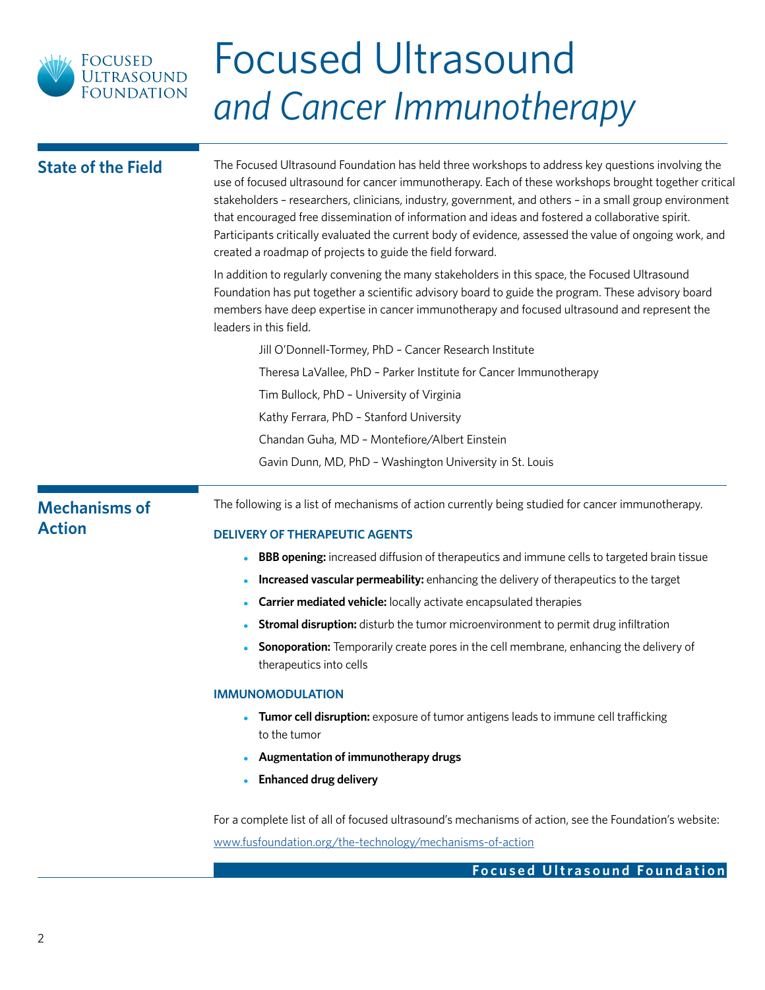

| <b>State of the Field</b>             | The Focused Ultrasound Foundation has held three workshops to address key questions involving the<br>use of focused ultrasound for cancer immunotherapy. Each of these workshops brought together critical<br>stakeholders - researchers, clinicians, industry, government, and others - in a small group environment<br>that encouraged free dissemination of information and ideas and fostered a collaborative spirit.<br>Participants critically evaluated the current body of evidence, assessed the value of ongoing work, and<br>created a roadmap of projects to guide the field forward. |  |  |
|---------------------------------------|---------------------------------------------------------------------------------------------------------------------------------------------------------------------------------------------------------------------------------------------------------------------------------------------------------------------------------------------------------------------------------------------------------------------------------------------------------------------------------------------------------------------------------------------------------------------------------------------------|--|--|
|                                       | In addition to regularly convening the many stakeholders in this space, the Focused Ultrasound<br>Foundation has put together a scientific advisory board to guide the program. These advisory board<br>members have deep expertise in cancer immunotherapy and focused ultrasound and represent the<br>leaders in this field.                                                                                                                                                                                                                                                                    |  |  |
|                                       | Jill O'Donnell-Tormey, PhD - Cancer Research Institute                                                                                                                                                                                                                                                                                                                                                                                                                                                                                                                                            |  |  |
|                                       | Theresa LaVallee, PhD - Parker Institute for Cancer Immunotherapy                                                                                                                                                                                                                                                                                                                                                                                                                                                                                                                                 |  |  |
|                                       | Tim Bullock, PhD - University of Virginia                                                                                                                                                                                                                                                                                                                                                                                                                                                                                                                                                         |  |  |
|                                       | Kathy Ferrara, PhD - Stanford University                                                                                                                                                                                                                                                                                                                                                                                                                                                                                                                                                          |  |  |
|                                       | Chandan Guha, MD - Montefiore/Albert Einstein                                                                                                                                                                                                                                                                                                                                                                                                                                                                                                                                                     |  |  |
|                                       | Gavin Dunn, MD, PhD - Washington University in St. Louis                                                                                                                                                                                                                                                                                                                                                                                                                                                                                                                                          |  |  |
| <b>Mechanisms of</b><br><b>Action</b> | The following is a list of mechanisms of action currently being studied for cancer immunotherapy.                                                                                                                                                                                                                                                                                                                                                                                                                                                                                                 |  |  |
|                                       | <b>DELIVERY OF THERAPEUTIC AGENTS</b>                                                                                                                                                                                                                                                                                                                                                                                                                                                                                                                                                             |  |  |
|                                       | <b>BBB opening:</b> increased diffusion of therapeutics and immune cells to targeted brain tissue                                                                                                                                                                                                                                                                                                                                                                                                                                                                                                 |  |  |
|                                       | Increased vascular permeability: enhancing the delivery of therapeutics to the target                                                                                                                                                                                                                                                                                                                                                                                                                                                                                                             |  |  |
|                                       | Carrier mediated vehicle: locally activate encapsulated therapies                                                                                                                                                                                                                                                                                                                                                                                                                                                                                                                                 |  |  |
|                                       | <b>Stromal disruption:</b> disturb the tumor microenvironment to permit drug infiltration                                                                                                                                                                                                                                                                                                                                                                                                                                                                                                         |  |  |
|                                       | <b>Sonoporation:</b> Temporarily create pores in the cell membrane, enhancing the delivery of<br>therapeutics into cells                                                                                                                                                                                                                                                                                                                                                                                                                                                                          |  |  |
|                                       | <b>IMMUNOMODULATION</b>                                                                                                                                                                                                                                                                                                                                                                                                                                                                                                                                                                           |  |  |
|                                       | Tumor cell disruption: exposure of tumor antigens leads to immune cell trafficking<br>to the tumor                                                                                                                                                                                                                                                                                                                                                                                                                                                                                                |  |  |
|                                       | Augmentation of immunotherapy drugs                                                                                                                                                                                                                                                                                                                                                                                                                                                                                                                                                               |  |  |
|                                       | <b>Enhanced drug delivery</b>                                                                                                                                                                                                                                                                                                                                                                                                                                                                                                                                                                     |  |  |
|                                       | For a complete list of all of focused ultrasound's mechanisms of action, see the Foundation's website:<br>www.fusfoundation.org/the-technology/mechanisms-of-action                                                                                                                                                                                                                                                                                                                                                                                                                               |  |  |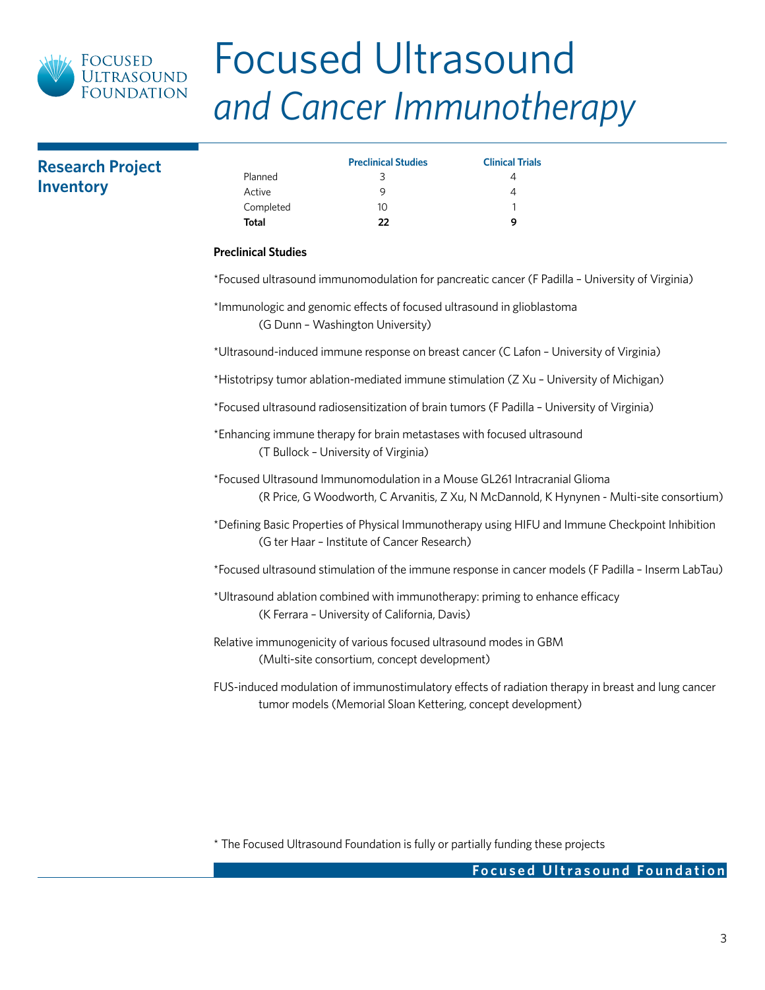

## **Research Project Inventory**

|           | <b>Preclinical Studies</b> | <b>Clinical Trials</b> |
|-----------|----------------------------|------------------------|
| Planned   | 3                          |                        |
| Active    | Q                          |                        |
| Completed | 10                         |                        |
| Total     | フフ                         | Q                      |

### **Preclinical Studies**

\*Focused ultrasound immunomodulation for pancreatic cancer (F Padilla – University of Virginia)

\*Immunologic and genomic effects of focused ultrasound in glioblastoma (G Dunn – Washington University)

\*Ultrasound-induced immune response on breast cancer (C Lafon – University of Virginia)

\*Histotripsy tumor ablation-mediated immune stimulation (Z Xu – University of Michigan)

\*Focused ultrasound radiosensitization of brain tumors (F Padilla – University of Virginia)

\*Enhancing immune therapy for brain metastases with focused ultrasound (T Bullock – University of Virginia)

\*Focused Ultrasound Immunomodulation in a Mouse GL261 Intracranial Glioma (R Price, G Woodworth, C Arvanitis, Z Xu, N McDannold, K Hynynen - Multi-site consortium)

\*Defining Basic Properties of Physical Immunotherapy using HIFU and Immune Checkpoint Inhibition (G ter Haar – Institute of Cancer Research)

\*Focused ultrasound stimulation of the immune response in cancer models (F Padilla – Inserm LabTau)

- \*Ultrasound ablation combined with immunotherapy: priming to enhance efficacy (K Ferrara – University of California, Davis)
- Relative immunogenicity of various focused ultrasound modes in GBM (Multi-site consortium, concept development)

FUS-induced modulation of immunostimulatory effects of radiation therapy in breast and lung cancer tumor models (Memorial Sloan Kettering, concept development)

\* The Focused Ultrasound Foundation is fully or partially funding these projects

### **Focused Ultrasound Foundation**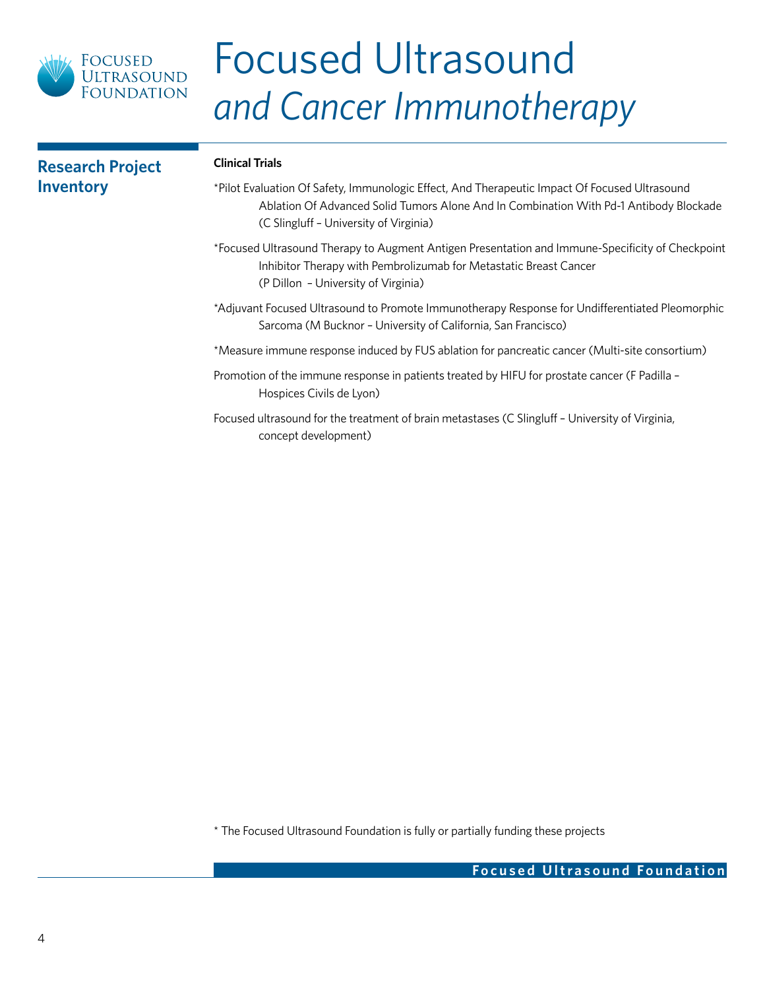

| <b>Research Project</b> | <b>Clinical Trials</b>                                                                                                                                                                                                            |
|-------------------------|-----------------------------------------------------------------------------------------------------------------------------------------------------------------------------------------------------------------------------------|
| <b>Inventory</b>        | *Pilot Evaluation Of Safety, Immunologic Effect, And Therapeutic Impact Of Focused Ultrasound<br>Ablation Of Advanced Solid Tumors Alone And In Combination With Pd-1 Antibody Blockade<br>(C Slingluff - University of Virginia) |
|                         | *Focused Ultrasound Therapy to Augment Antigen Presentation and Immune-Specificity of Checkpoint<br>Inhibitor Therapy with Pembrolizumab for Metastatic Breast Cancer<br>(P Dillon - University of Virginia)                      |
|                         | *Adjuvant Focused Ultrasound to Promote Immunotherapy Response for Undifferentiated Pleomorphic<br>Sarcoma (M Bucknor - University of California, San Francisco)                                                                  |
|                         | *Measure immune response induced by FUS ablation for pancreatic cancer (Multi-site consortium)                                                                                                                                    |
|                         | Promotion of the immune response in patients treated by HIFU for prostate cancer (F Padilla -<br>Hospices Civils de Lyon)                                                                                                         |
|                         | Focused ultrasound for the treatment of brain metastases (C Slingluff - University of Virginia,<br>concept development)                                                                                                           |

\* The Focused Ultrasound Foundation is fully or partially funding these projects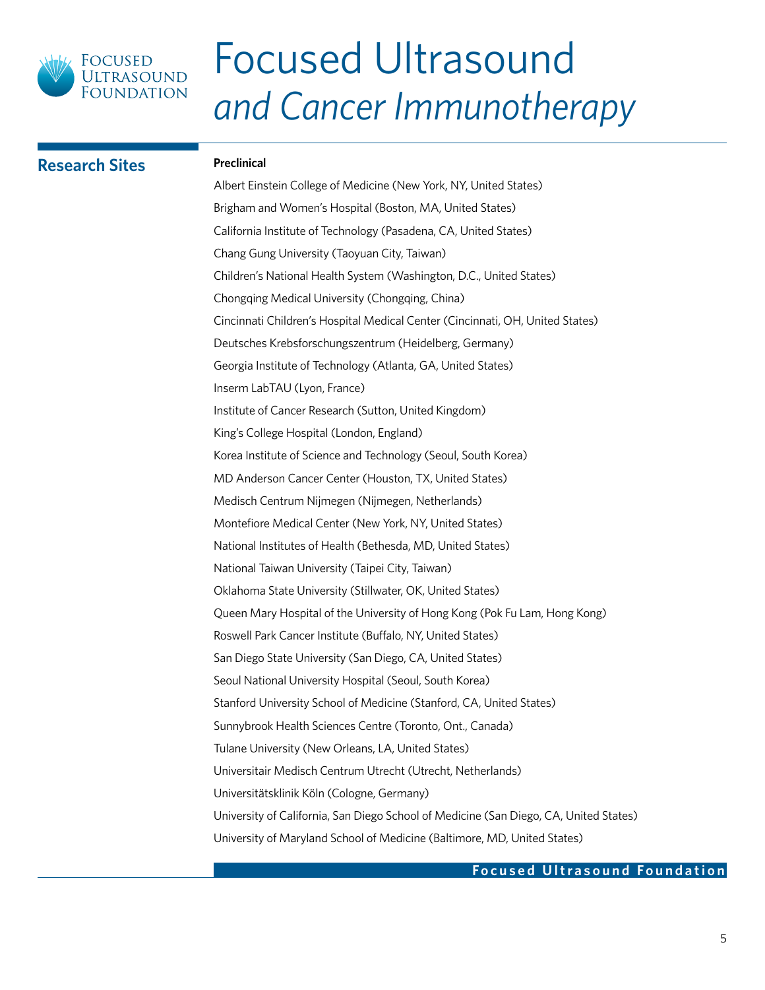

### **Research Sites Preclinical**

Albert Einstein College of Medicine (New York, NY, United States) Brigham and Women's Hospital (Boston, MA, United States) California Institute of Technology (Pasadena, CA, United States) Chang Gung University (Taoyuan City, Taiwan) Children's National Health System (Washington, D.C., United States) Chongqing Medical University (Chongqing, China) Cincinnati Children's Hospital Medical Center (Cincinnati, OH, United States) Deutsches Krebsforschungszentrum (Heidelberg, Germany) Georgia Institute of Technology (Atlanta, GA, United States) Inserm LabTAU (Lyon, France) Institute of Cancer Research (Sutton, United Kingdom) King's College Hospital (London, England) Korea Institute of Science and Technology (Seoul, South Korea) MD Anderson Cancer Center (Houston, TX, United States) Medisch Centrum Nijmegen (Nijmegen, Netherlands) Montefiore Medical Center (New York, NY, United States) National Institutes of Health (Bethesda, MD, United States) National Taiwan University (Taipei City, Taiwan) Oklahoma State University (Stillwater, OK, United States) Queen Mary Hospital of the University of Hong Kong (Pok Fu Lam, Hong Kong) Roswell Park Cancer Institute (Buffalo, NY, United States) San Diego State University (San Diego, CA, United States) Seoul National University Hospital (Seoul, South Korea) Stanford University School of Medicine (Stanford, CA, United States) Sunnybrook Health Sciences Centre (Toronto, Ont., Canada) Tulane University (New Orleans, LA, United States) Universitair Medisch Centrum Utrecht (Utrecht, Netherlands) Universitätsklinik Köln (Cologne, Germany) University of California, San Diego School of Medicine (San Diego, CA, United States) University of Maryland School of Medicine (Baltimore, MD, United States)

### **Focused Ultrasound Foundation**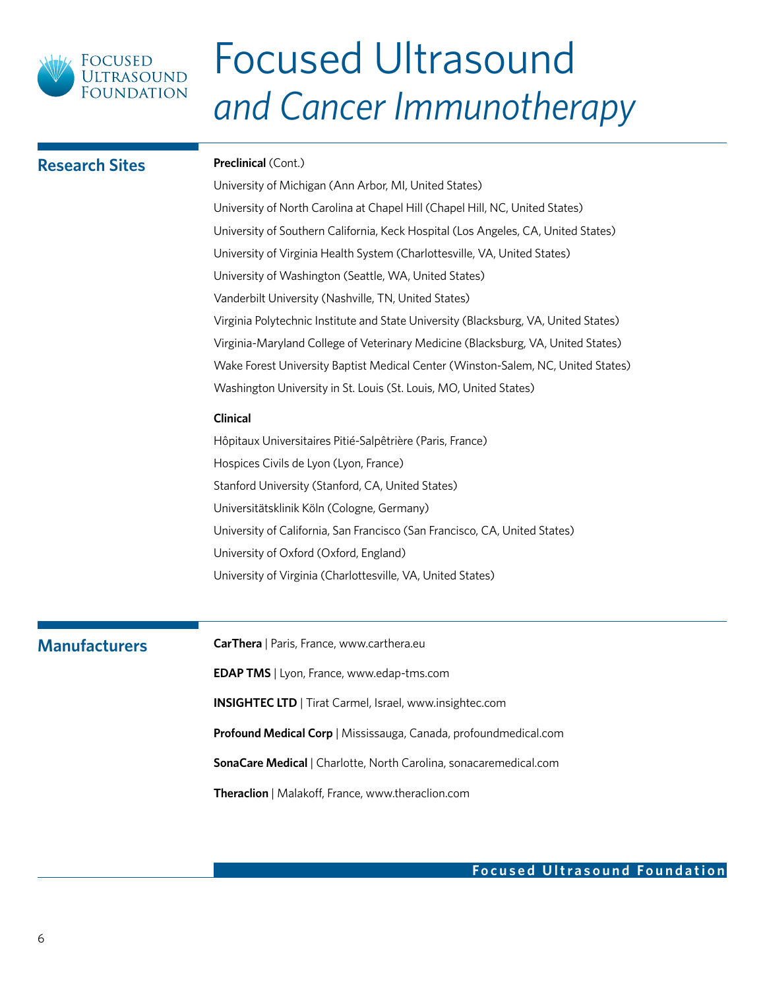

| <b>Research Sites</b> | <b>Preclinical (Cont.)</b>                                                                                                            |  |  |  |
|-----------------------|---------------------------------------------------------------------------------------------------------------------------------------|--|--|--|
|                       | University of Michigan (Ann Arbor, MI, United States)<br>University of North Carolina at Chapel Hill (Chapel Hill, NC, United States) |  |  |  |
|                       |                                                                                                                                       |  |  |  |
|                       | University of Southern California, Keck Hospital (Los Angeles, CA, United States)                                                     |  |  |  |
|                       | University of Virginia Health System (Charlottesville, VA, United States)                                                             |  |  |  |
|                       | University of Washington (Seattle, WA, United States)                                                                                 |  |  |  |
|                       | Vanderbilt University (Nashville, TN, United States)                                                                                  |  |  |  |
|                       | Virginia Polytechnic Institute and State University (Blacksburg, VA, United States)                                                   |  |  |  |
|                       | Virginia-Maryland College of Veterinary Medicine (Blacksburg, VA, United States)                                                      |  |  |  |
|                       | Wake Forest University Baptist Medical Center (Winston-Salem, NC, United States)                                                      |  |  |  |
|                       | Washington University in St. Louis (St. Louis, MO, United States)                                                                     |  |  |  |
|                       | Clinical                                                                                                                              |  |  |  |
|                       | Hôpitaux Universitaires Pitié-Salpêtrière (Paris, France)                                                                             |  |  |  |
|                       | Hospices Civils de Lyon (Lyon, France)                                                                                                |  |  |  |
|                       | Stanford University (Stanford, CA, United States)                                                                                     |  |  |  |
|                       | Universitätsklinik Köln (Cologne, Germany)                                                                                            |  |  |  |
|                       | University of California, San Francisco (San Francisco, CA, United States)                                                            |  |  |  |
|                       | University of Oxford (Oxford, England)                                                                                                |  |  |  |
|                       | University of Virginia (Charlottesville, VA, United States)                                                                           |  |  |  |
|                       |                                                                                                                                       |  |  |  |
| <b>Manufacturers</b>  | CarThera   Paris, France, www.carthera.eu                                                                                             |  |  |  |
|                       | <b>EDAP TMS</b>   Lyon, France, www.edap-tms.com                                                                                      |  |  |  |
|                       | <b>INSIGHTEC LTD</b>   Tirat Carmel, Israel, www.insightec.com                                                                        |  |  |  |
|                       | Profound Medical Corp   Mississauga, Canada, profoundmedical.com                                                                      |  |  |  |
|                       | SonaCare Medical   Charlotte, North Carolina, sonacaremedical.com                                                                     |  |  |  |
|                       | Theraclion   Malakoff, France, www.theraclion.com                                                                                     |  |  |  |
|                       |                                                                                                                                       |  |  |  |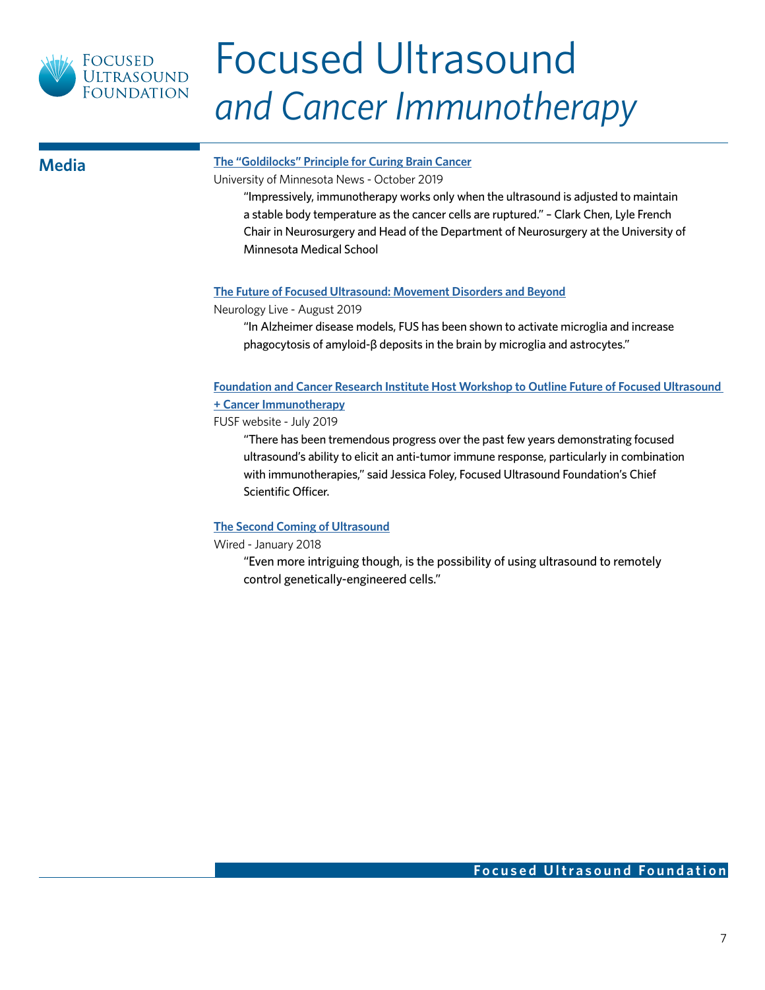

### **[The "Goldilocks" Principle for Curing Brain Cancer](https://med.umn.edu/news-events/%E2%80%9Cgoldilocks%E2%80%9D-principle-curing-brain-cancer)**

University of Minnesota News - October 2019

"Impressively, immunotherapy works only when the ultrasound is adjusted to maintain a stable body temperature as the cancer cells are ruptured." – Clark Chen, Lyle French Chair in Neurosurgery and Head of the Department of Neurosurgery at the University of Minnesota Medical School

### **[The Future of Focused Ultrasound: Movement Disorders and Beyond](https://www.neurologylive.com/journals/neurologylive/2019/august-2019/the-future-of-focused-ultrasound-movement-disorders-and-beyond)**

Neurology Live - August 2019

"In Alzheimer disease models, FUS has been shown to activate microglia and increase phagocytosis of amyloid-β deposits in the brain by microglia and astrocytes."

### **[Foundation and Cancer Research Institute Host Workshop to Outline Future of Focused Ultrasound](https://www.fusfoundation.org/news/foundation-and-cancer-research-institute-host-workshop-to-outline-future-of-focused-ultrasound-cancer-immunotherapy)  [+ Cancer Immunotherapy](https://www.fusfoundation.org/news/foundation-and-cancer-research-institute-host-workshop-to-outline-future-of-focused-ultrasound-cancer-immunotherapy)**

FUSF website - July 2019

"There has been tremendous progress over the past few years demonstrating focused ultrasound's ability to elicit an anti-tumor immune response, particularly in combination with immunotherapies," said Jessica Foley, Focused Ultrasound Foundation's Chief Scientific Officer.

### **[The Second Coming of Ultrasound](https://www.wired.com/story/the-second-coming-of-ultrasound/)**

Wired - January 2018

"Even more intriguing though, is the possibility of using ultrasound to remotely control genetically-engineered cells."